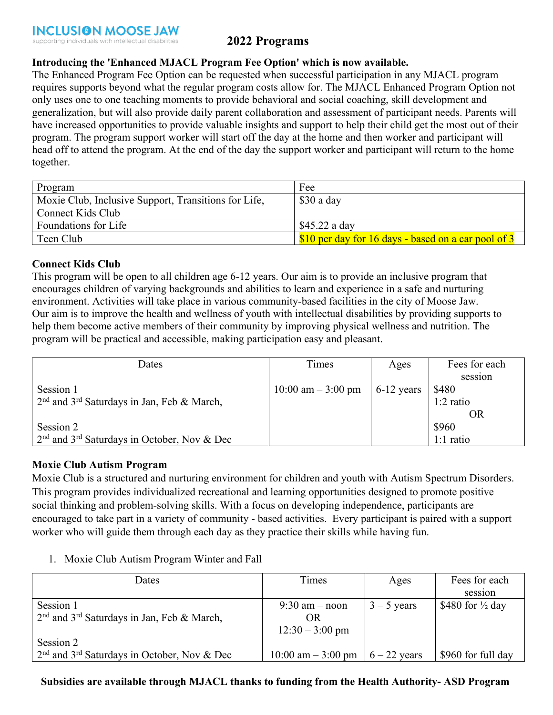# **2022 Programs**

# **Introducing the 'Enhanced MJACL Program Fee Option' which is now available.**

The Enhanced Program Fee Option can be requested when successful participation in any MJACL program requires supports beyond what the regular program costs allow for. The MJACL Enhanced Program Option not only uses one to one teaching moments to provide behavioral and social coaching, skill development and generalization, but will also provide daily parent collaboration and assessment of participant needs. Parents will have increased opportunities to provide valuable insights and support to help their child get the most out of their program. The program support worker will start off the day at the home and then worker and participant will head off to attend the program. At the end of the day the support worker and participant will return to the home together.

| Program                                              | Fee                                                   |
|------------------------------------------------------|-------------------------------------------------------|
| Moxie Club, Inclusive Support, Transitions for Life, | \$30 a day                                            |
| Connect Kids Club                                    |                                                       |
| Foundations for Life                                 | \$45.22 a day                                         |
| Teen Club                                            | \$10 per day for 16 days - based on a car pool of $3$ |

# **Connect Kids Club**

This program will be open to all children age 6-12 years. Our aim is to provide an inclusive program that encourages children of varying backgrounds and abilities to learn and experience in a safe and nurturing environment. Activities will take place in various community-based facilities in the city of Moose Jaw. Our aim is to improve the health and wellness of youth with intellectual disabilities by providing supports to help them become active members of their community by improving physical wellness and nutrition. The program will be practical and accessible, making participation easy and pleasant.

| Dates                                                     | Times               | Ages         | Fees for each |
|-----------------------------------------------------------|---------------------|--------------|---------------|
|                                                           |                     |              | session       |
| Session 1                                                 | 10:00 am $-3:00$ pm | $6-12$ years | \$480         |
| $2nd$ and $3rd$ Saturdays in Jan, Feb & March,            |                     |              | $1:2$ ratio   |
|                                                           |                     |              | OR            |
| Session 2                                                 |                     |              | \$960         |
| $2nd$ and 3 <sup>rd</sup> Saturdays in October, Nov & Dec |                     |              | $1:1$ ratio   |

# **Moxie Club Autism Program**

Moxie Club is a structured and nurturing environment for children and youth with Autism Spectrum Disorders. This program provides individualized recreational and learning opportunities designed to promote positive social thinking and problem-solving skills. With a focus on developing independence, participants are encouraged to take part in a variety of community - based activities. Every participant is paired with a support worker who will guide them through each day as they practice their skills while having fun.

1. Moxie Club Autism Program Winter and Fall

| <b>Dates</b>                                    | Times               | Ages           | Fees for each               |
|-------------------------------------------------|---------------------|----------------|-----------------------------|
|                                                 |                     |                | session                     |
| Session 1                                       | $9:30$ am – noon    | $3 - 5$ years  | \$480 for $\frac{1}{2}$ day |
| $2nd$ and $3rd$ Saturdays in Jan, Feb & March,  | OR                  |                |                             |
|                                                 | $12:30 - 3:00$ pm   |                |                             |
| Session 2                                       |                     |                |                             |
| $2nd$ and $3rd$ Saturdays in October, Nov & Dec | 10:00 am $-3:00$ pm | $6 - 22$ years | \$960 for full day          |

# **Subsidies are available through MJACL thanks to funding from the Health Authority- ASD Program**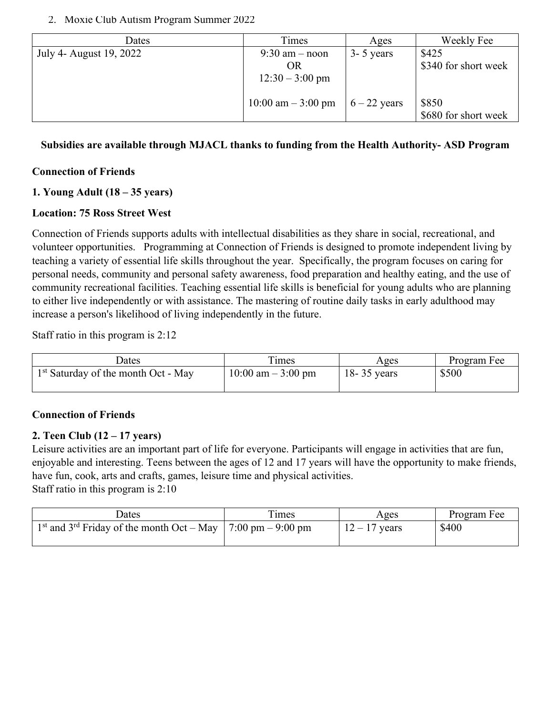#### 2. Moxie Club Autism Program Summer 2022

| Dates                   | Times                                | Ages           | Weekly Fee           |
|-------------------------|--------------------------------------|----------------|----------------------|
| July 4- August 19, 2022 | $9:30$ am – noon                     | $3 - 5$ years  | \$425                |
|                         | OR                                   |                | \$340 for short week |
|                         | $12:30 - 3:00$ pm                    |                |                      |
|                         |                                      |                |                      |
|                         | $10:00 \text{ am} - 3:00 \text{ pm}$ | $6 - 22$ years | \$850                |
|                         |                                      |                | \$680 for short week |

**Subsidies are available through MJACL thanks to funding from the Health Authority- ASD Program**

# **Connection of Friends**

# **1. Young Adult (18 – 35 years)**

# **Location: 75 Ross Street West**

Connection of Friends supports adults with intellectual disabilities as they share in social, recreational, and volunteer opportunities. Programming at Connection of Friends is designed to promote independent living by teaching a variety of essential life skills throughout the year. Specifically, the program focuses on caring for personal needs, community and personal safety awareness, food preparation and healthy eating, and the use of community recreational facilities. Teaching essential life skills is beneficial for young adults who are planning to either live independently or with assistance. The mastering of routine daily tasks in early adulthood may increase a person's likelihood of living independently in the future.

Staff ratio in this program is 2:12

| <b>J</b> ates                         | <sub>1</sub> mes      | Ages            | Program Fee |
|---------------------------------------|-----------------------|-----------------|-------------|
| $1st$ Saturday of the month Oct - May | $10:00$ am $-3:00$ pm | $18 - 35$ years | \$500       |
|                                       |                       |                 |             |

# **Connection of Friends**

# **2. Teen Club (12 – 17 years)**

Leisure activities are an important part of life for everyone. Participants will engage in activities that are fun, enjoyable and interesting. Teens between the ages of 12 and 17 years will have the opportunity to make friends, have fun, cook, arts and crafts, games, leisure time and physical activities. Staff ratio in this program is 2:10

| <b>J</b> ates                                                                         | imes | Ages            | Program Fee |
|---------------------------------------------------------------------------------------|------|-----------------|-------------|
| 1 <sup>st</sup> and 3 <sup>rd</sup> Friday of the month Oct – May   7:00 pm – 9:00 pm |      | $12 - 17$ years | \$400       |
|                                                                                       |      |                 |             |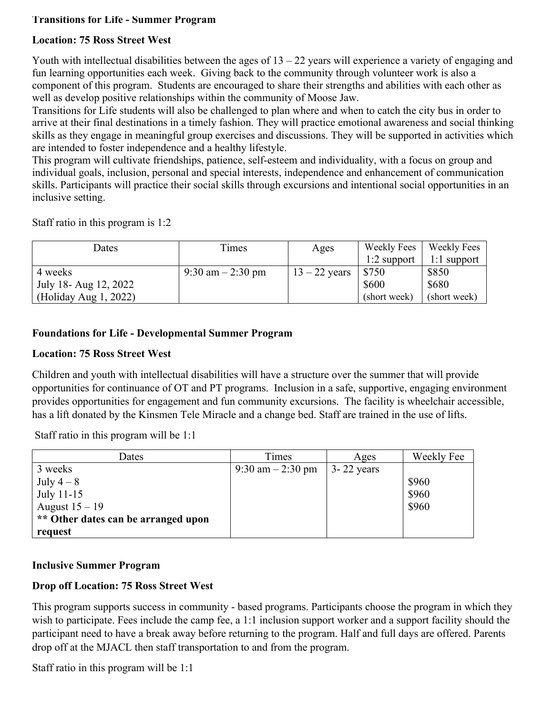# **Transitions for Life - Summer Program**

# **Location: 75 Ross Street West**

Youth with intellectual disabilities between the ages of  $13 - 22$  years will experience a variety of engaging and fun learning opportunities each week. Giving back to the community through volunteer work is also a component of this program. Students are encouraged to share their strengths and abilities with each other as well as develop positive relationships within the community of Moose Jaw.

Transitions for Life students will also be challenged to plan where and when to catch the city bus in order to arrive at their final destinations in a timely fashion. They will practice emotional awareness and social thinking skills as they engage in meaningful group exercises and discussions. They will be supported in activities which are intended to foster independence and a healthy lifestyle.

This program will cultivate friendships, patience, self-esteem and individuality, with a focus on group and individual goals, inclusion, personal and special interests, independence and enhancement of communication skills. Participants will practice their social skills through excursions and intentional social opportunities in an inclusive setting.

Staff ratio in this program is 1:2

| Dates                 | Times              | Ages            | Weekly Fees   | Weekly Fees   |
|-----------------------|--------------------|-----------------|---------------|---------------|
|                       |                    |                 | $1:2$ support | $1:1$ support |
| 4 weeks               | 9:30 am $-2:30$ pm | $13 - 22$ years | \$750         | \$850         |
| July 18- Aug 12, 2022 |                    |                 | \$600         | \$680         |
| (Holiday Aug 1, 2022) |                    |                 | (short week)  | (short week)  |

# **Foundations for Life - Developmental Summer Program**

# **Location: 75 Ross Street West**

Children and youth with intellectual disabilities will have a structure over the summer that will provide opportunities for continuance of OT and PT programs. Inclusion in a safe, supportive, engaging environment provides opportunities for engagement and fun community excursions. The facility is wheelchair accessible, has a lift donated by the Kinsmen Tele Miracle and a change bed. Staff are trained in the use of lifts.

Staff ratio in this program will be 1:1

| Dates                               | Times              | Ages           | Weekly Fee |
|-------------------------------------|--------------------|----------------|------------|
| 3 weeks                             | 9:30 am $-2:30$ pm | $3 - 22$ years |            |
| July $4-8$                          |                    |                | \$960      |
| July 11-15                          |                    |                | \$960      |
| August $15 - 19$                    |                    |                | \$960      |
| ** Other dates can be arranged upon |                    |                |            |
| request                             |                    |                |            |

# **Inclusive Summer Program**

# **Drop off Location: 75 Ross Street West**

This program supports success in community - based programs. Participants choose the program in which they wish to participate. Fees include the camp fee, a 1:1 inclusion support worker and a support facility should the participant need to have a break away before returning to the program. Half and full days are offered. Parents drop off at the MJACL then staff transportation to and from the program.

Staff ratio in this program will be 1:1